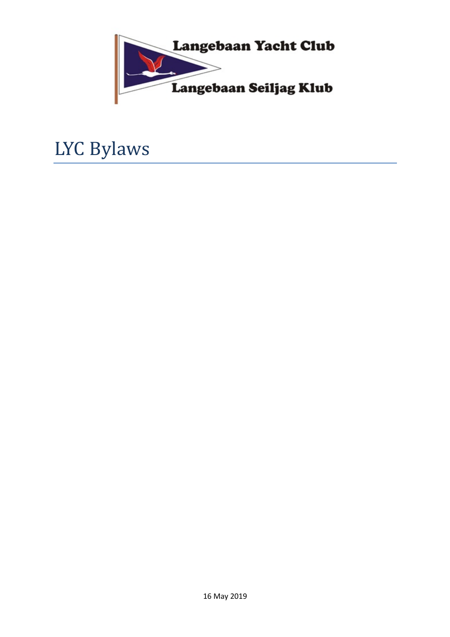

# LYC Bylaws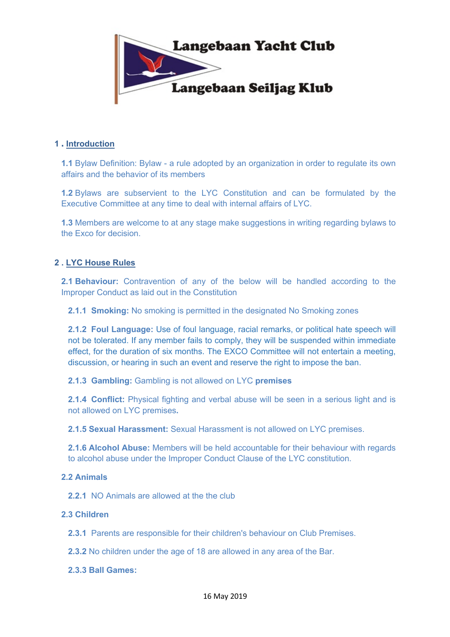

## **1 . Introduction**

**1.1** Bylaw Definition: Bylaw - a rule adopted by an organization in order to regulate its own affairs and the behavior of its members

**1.2** Bylaws are subservient to the LYC Constitution and can be formulated by the Executive Committee at any time to deal with internal affairs of LYC.

**1.3** Members are welcome to at any stage make suggestions in writing regarding bylaws to the Exco for decision.

## **2 . LYC House Rules**

**2.1 Behaviour:** Contravention of any of the below will be handled according to the Improper Conduct as laid out in the Constitution

**2.1.1 Smoking:** No smoking is permitted in the designated No Smoking zones

**2.1.2 Foul Language:** Use of foul language, racial remarks, or political hate speech will not be tolerated. If any member fails to comply, they will be suspended within immediate effect, for the duration of six months. The EXCO Committee will not entertain a meeting, discussion, or hearing in such an event and reserve the right to impose the ban.

**2.1.3 Gambling:** Gambling is not allowed on LYC **premises**

**2.1.4 Conflict:** Physical fighting and verbal abuse will be seen in a serious light and is not allowed on LYC premises**.**

**2.1.5 Sexual Harassment:** Sexual Harassment is not allowed on LYC premises.

**2.1.6 Alcohol Abuse:** Members will be held accountable for their behaviour with regards to alcohol abuse under the Improper Conduct Clause of the LYC constitution.

## **2.2 Animals**

**2.2.1** NO Animals are allowed at the the club

## **2.3 Children**

**2.3.1** Parents are responsible for their children's behaviour on Club Premises.

**2.3.2** No children under the age of 18 are allowed in any area of the Bar.

**2.3.3 Ball Games:**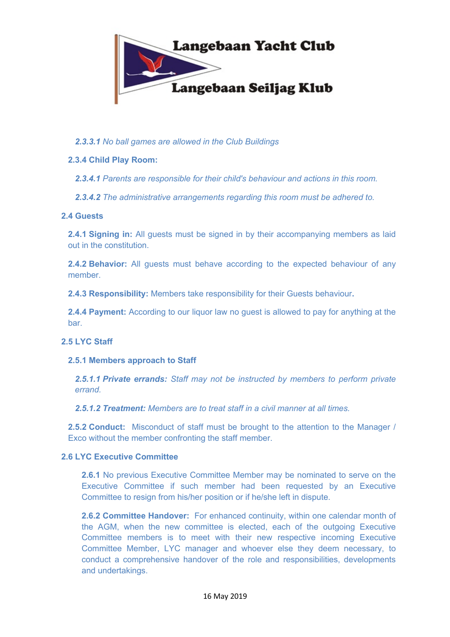

## *2.3.3.1 No ball games are allowed in the Club Buildings*

## **2.3.4 Child Play Room:**

*2.3.4.1 Parents are responsible for their child's behaviour and actions in this room.*

*2.3.4.2 The administrative arrangements regarding this room must be adhered to.*

## **2.4 Guests**

**2.4.1 Signing in:** All guests must be signed in by their accompanying members as laid out in the constitution.

**2.4.2 Behavior:** All guests must behave according to the expected behaviour of any member.

**2.4.3 Responsibility:** Members take responsibility for their Guests behaviour**.**

**2.4.4 Payment:** According to our liquor law no guest is allowed to pay for anything at the bar.

## **2.5 LYC Staff**

## **2.5.1 Members approach to Staff**

*2.5.1.1 Private errands: Staff may not be instructed by members to perform private errand.*

*2.5.1.2 Treatment: Members are to treat staff in a civil manner at all times.*

**2.5.2 Conduct:** Misconduct of staff must be brought to the attention to the Manager / Exco without the member confronting the staff member.

## **2.6 LYC Executive Committee**

**2.6.1** No previous Executive Committee Member may be nominated to serve on the Executive Committee if such member had been requested by an Executive Committee to resign from his/her position or if he/she left in dispute.

**2.6.2 Committee Handover:** For enhanced continuity, within one calendar month of the AGM, when the new committee is elected, each of the outgoing Executive Committee members is to meet with their new respective incoming Executive Committee Member, LYC manager and whoever else they deem necessary, to conduct a comprehensive handover of the role and responsibilities, developments and undertakings.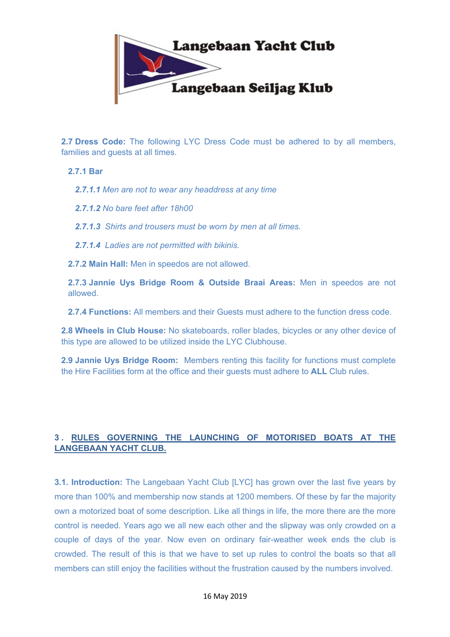

**2.7 Dress Code:** The following LYC Dress Code must be adhered to by all members, families and guests at all times.

## **2.7.1 Bar**

*2.7.1.1 Men are not to wear any headdress at any time*

*2.7.1.2 No bare feet after 18h00*

*2.7.1.3 Shirts and trousers must be worn by men at all times.*

*2.7.1.4 Ladies are not permitted with bikinis.*

**2.7.2 Main Hall:** Men in speedos are not allowed.

**2.7.3 Jannie Uys Bridge Room & Outside Braai Areas:** Men in speedos are not allowed.

**2.7.4 Functions:** All members and their Guests must adhere to the function dress code.

**2.8 Wheels in Club House:** No skateboards, roller blades, bicycles or any other device of this type are allowed to be utilized inside the LYC Clubhouse.

**2.9 Jannie Uys Bridge Room:** Members renting this facility for functions must complete the Hire Facilities form at the office and their guests must adhere to **ALL** Club rules.

# **3 . RULES GOVERNING THE LAUNCHING OF MOTORISED BOATS AT THE LANGEBAAN YACHT CLUB.**

**3.1. Introduction:** The Langebaan Yacht Club [LYC] has grown over the last five years by more than 100% and membership now stands at 1200 members. Of these by far the majority own a motorized boat of some description. Like all things in life, the more there are the more control is needed. Years ago we all new each other and the slipway was only crowded on a couple of days of the year. Now even on ordinary fair-weather week ends the club is crowded. The result of this is that we have to set up rules to control the boats so that all members can still enjoy the facilities without the frustration caused by the numbers involved.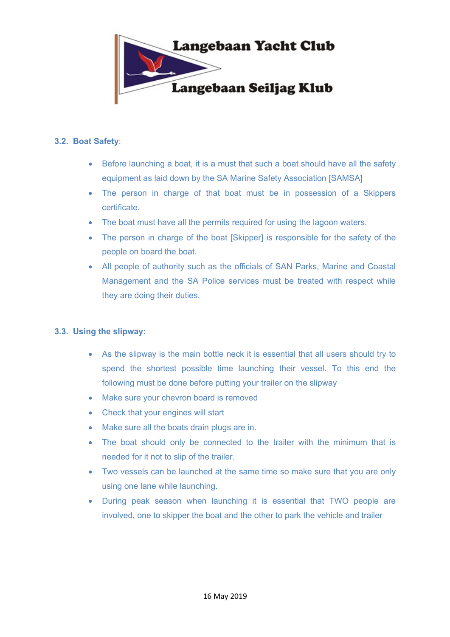

## **3.2. Boat Safety**:

- Before launching a boat, it is a must that such a boat should have all the safety equipment as laid down by the SA Marine Safety Association [SAMSA]
- The person in charge of that boat must be in possession of a Skippers certificate.
- The boat must have all the permits required for using the lagoon waters.
- The person in charge of the boat [Skipper] is responsible for the safety of the people on board the boat.
- All people of authority such as the officials of SAN Parks, Marine and Coastal Management and the SA Police services must be treated with respect while they are doing their duties.

## **3.3. Using the slipway:**

- As the slipway is the main bottle neck it is essential that all users should try to spend the shortest possible time launching their vessel. To this end the following must be done before putting your trailer on the slipway
- Make sure your chevron board is removed
- Check that your engines will start
- Make sure all the boats drain plugs are in.
- The boat should only be connected to the trailer with the minimum that is needed for it not to slip of the trailer.
- Two vessels can be launched at the same time so make sure that you are only using one lane while launching.
- During peak season when launching it is essential that TWO people are involved, one to skipper the boat and the other to park the vehicle and trailer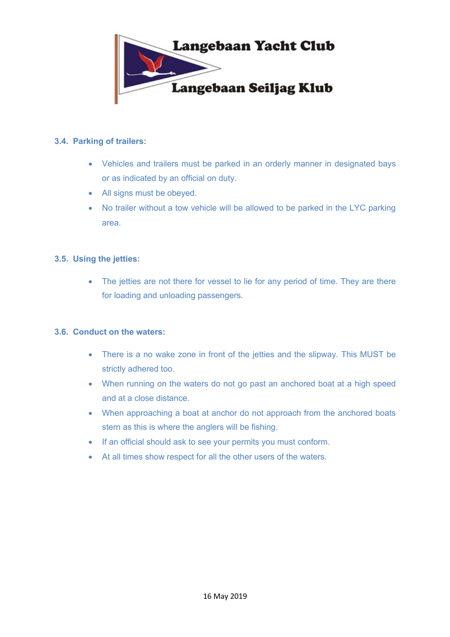

## **3.4. Parking of trailers:**

- Vehicles and trailers must be parked in an orderly manner in designated bays or as indicated by an official on duty.
- All signs must be obeyed.
- No trailer without a tow vehicle will be allowed to be parked in the LYC parking area.

## **3.5. Using the jetties:**

• The jetties are not there for vessel to lie for any period of time. They are there for loading and unloading passengers.

## **3.6. Conduct on the waters:**

- There is a no wake zone in front of the jetties and the slipway. This MUST be strictly adhered too.
- When running on the waters do not go past an anchored boat at a high speed and at a close distance.
- When approaching a boat at anchor do not approach from the anchored boats stern as this is where the anglers will be fishing.
- If an official should ask to see your permits you must conform.
- At all times show respect for all the other users of the waters.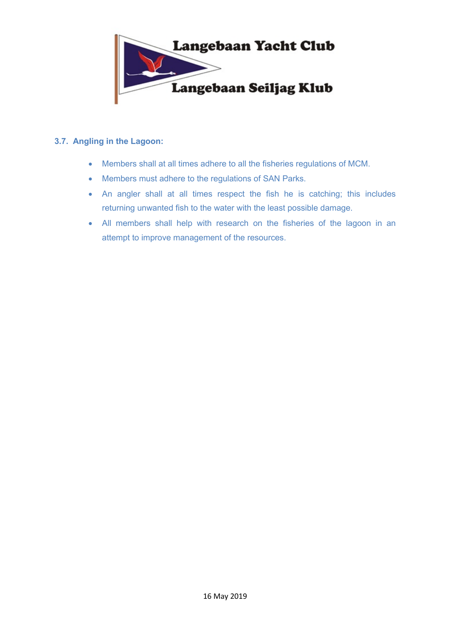

## **3.7. Angling in the Lagoon:**

- Members shall at all times adhere to all the fisheries regulations of MCM.
- Members must adhere to the regulations of SAN Parks.
- An angler shall at all times respect the fish he is catching; this includes returning unwanted fish to the water with the least possible damage.
- All members shall help with research on the fisheries of the lagoon in an attempt to improve management of the resources.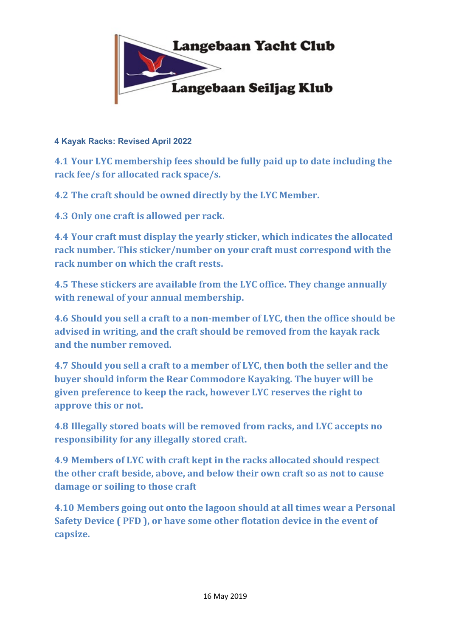

# **4 Kayak Racks: Revised April 2022**

**4.1 Your LYC membership fees should be fully paid up to date including the** rack fee/s for allocated rack space/s.

**4.2 The craft should be owned directly by the LYC Member.** 

**4.3 Only one craft is allowed per rack.** 

**4.4 Your craft must display the yearly sticker, which indicates the allocated** rack number. This sticker/number on your craft must correspond with the **rack number on which the craft rests.** 

**4.5** These stickers are available from the LYC office. They change annually with renewal of your annual membership.

**4.6** Should you sell a craft to a non-member of LYC, then the office should be advised in writing, and the craft should be removed from the kayak rack and the number removed.

**4.7** Should you sell a craft to a member of LYC, then both the seller and the **buyer should inform the Rear Commodore Kayaking. The buyer will be given preference to keep the rack, however LYC reserves the right to approve this or not.**

**4.8 Illegally stored boats will be removed from racks, and LYC accepts no responsibility for any illegally stored craft.** 

**4.9 Members of LYC with craft kept in the racks allocated should respect the** other craft beside, above, and below their own craft so as not to cause damage or soiling to those craft

**4.10** Members going out onto the lagoon should at all times wear a Personal **Safety Device ( PFD ), or have some other flotation device in the event of capsize.**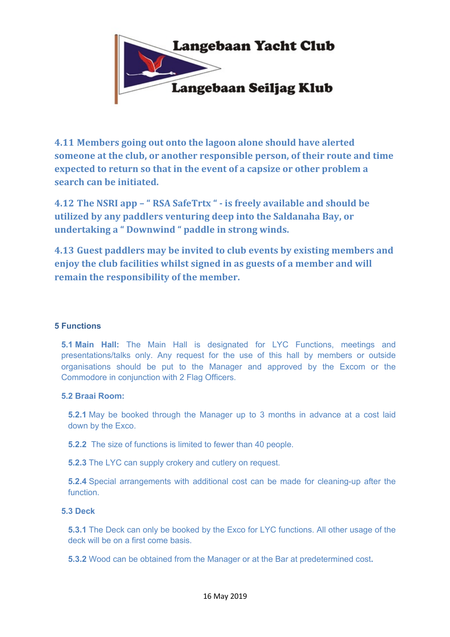

**4.11 Members going out onto the lagoon alone should have alerted someone at the club, or another responsible person, of their route and time expected to return so that in the event of a capsize or other problem a search can be initiated.** 

**4.12** The NSRI app – " RSA SafeTrtx " - is freely available and should be **utilized by any paddlers venturing deep into the Saldanaha Bay, or undertaking a "Downwind " paddle in strong winds.** 

**4.13** Guest paddlers may be invited to club events by existing members and **enjoy the club facilities whilst signed in as guests of a member and will remain the responsibility of the member.** 

## **5 Functions**

**5.1 Main Hall:** The Main Hall is designated for LYC Functions, meetings and presentations/talks only. Any request for the use of this hall by members or outside organisations should be put to the Manager and approved by the Excom or the Commodore in conjunction with 2 Flag Officers.

## **5.2 Braai Room:**

**5.2.1** May be booked through the Manager up to 3 months in advance at a cost laid down by the Exco.

**5.2.2** The size of functions is limited to fewer than 40 people.

**5.2.3** The LYC can supply crokery and cutlery on request.

**5.2.4** Special arrangements with additional cost can be made for cleaning-up after the function.

## **5.3 Deck**

**5.3.1** The Deck can only be booked by the Exco for LYC functions. All other usage of the deck will be on a first come basis.

**5.3.2** Wood can be obtained from the Manager or at the Bar at predetermined cost**.**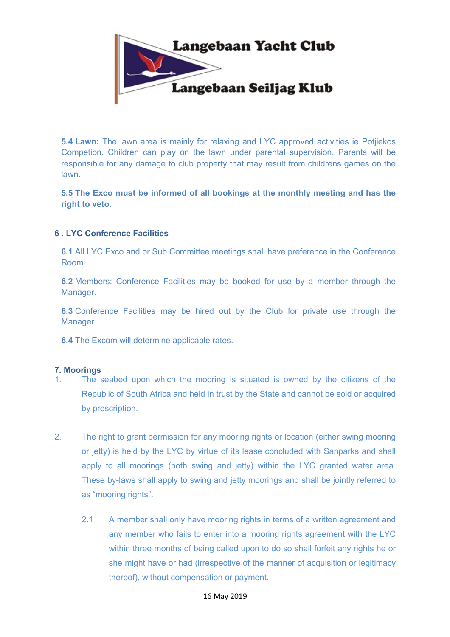

**5.4 Lawn:** The lawn area is mainly for relaxing and LYC approved activities ie Potjiekos Competion. Children can play on the lawn under parental supervision. Parents will be responsible for any damage to club property that may result from childrens games on the lawn.

**5.5 The Exco must be informed of all bookings at the monthly meeting and has the right to veto.**

## **6 . LYC Conference Facilities**

**6.1** All LYC Exco and or Sub Committee meetings shall have preference in the Conference Room.

**6.2** Members: Conference Facilities may be booked for use by a member through the Manager.

**6.3** Conference Facilities may be hired out by the Club for private use through the Manager.

**6.4** The Excom will determine applicable rates.

## **7. Moorings**

- 1. The seabed upon which the mooring is situated is owned by the citizens of the Republic of South Africa and held in trust by the State and cannot be sold or acquired by prescription.
- 2. The right to grant permission for any mooring rights or location (either swing mooring or jetty) is held by the LYC by virtue of its lease concluded with Sanparks and shall apply to all moorings (both swing and jetty) within the LYC granted water area. These by-laws shall apply to swing and jetty moorings and shall be jointly referred to as "mooring rights".
	- 2.1 A member shall only have mooring rights in terms of a written agreement and any member who fails to enter into a mooring rights agreement with the LYC within three months of being called upon to do so shall forfeit any rights he or she might have or had (irrespective of the manner of acquisition or legitimacy thereof), without compensation or payment.

#### 16 May 2019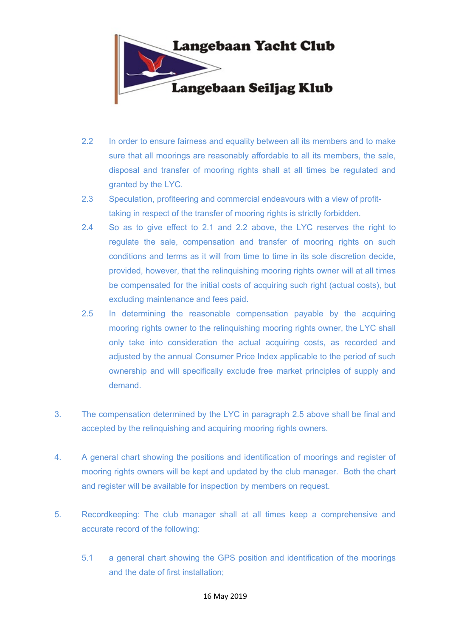

- 2.2 In order to ensure fairness and equality between all its members and to make sure that all moorings are reasonably affordable to all its members, the sale, disposal and transfer of mooring rights shall at all times be regulated and granted by the LYC.
- 2.3 Speculation, profiteering and commercial endeavours with a view of profittaking in respect of the transfer of mooring rights is strictly forbidden.
- 2.4 So as to give effect to 2.1 and 2.2 above, the LYC reserves the right to regulate the sale, compensation and transfer of mooring rights on such conditions and terms as it will from time to time in its sole discretion decide, provided, however, that the relinquishing mooring rights owner will at all times be compensated for the initial costs of acquiring such right (actual costs), but excluding maintenance and fees paid.
- 2.5 In determining the reasonable compensation payable by the acquiring mooring rights owner to the relinquishing mooring rights owner, the LYC shall only take into consideration the actual acquiring costs, as recorded and adjusted by the annual Consumer Price Index applicable to the period of such ownership and will specifically exclude free market principles of supply and demand.
- 3. The compensation determined by the LYC in paragraph 2.5 above shall be final and accepted by the relinquishing and acquiring mooring rights owners.
- 4. A general chart showing the positions and identification of moorings and register of mooring rights owners will be kept and updated by the club manager. Both the chart and register will be available for inspection by members on request.
- 5. Recordkeeping: The club manager shall at all times keep a comprehensive and accurate record of the following:
	- 5.1 a general chart showing the GPS position and identification of the moorings and the date of first installation;

#### 16 May 2019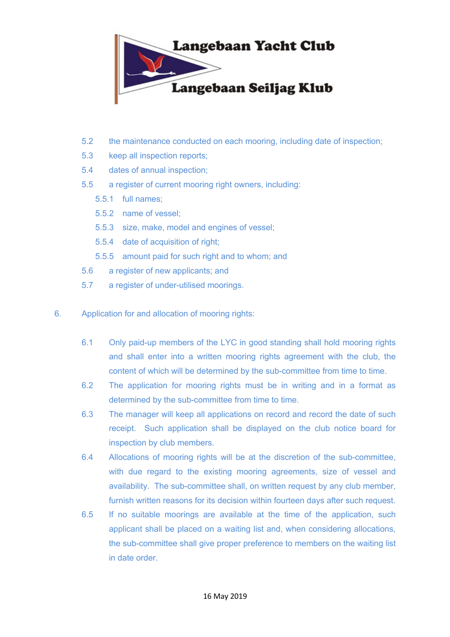

- 5.2 the maintenance conducted on each mooring, including date of inspection;
- 5.3 keep all inspection reports;
- 5.4 dates of annual inspection;
- 5.5 a register of current mooring right owners, including:
	- 5.5.1 full names;
	- 5.5.2 name of vessel;
	- 5.5.3 size, make, model and engines of vessel;
	- 5.5.4 date of acquisition of right;
	- 5.5.5 amount paid for such right and to whom; and
- 5.6 a register of new applicants; and
- 5.7 a register of under-utilised moorings.
- 6. Application for and allocation of mooring rights:
	- 6.1 Only paid-up members of the LYC in good standing shall hold mooring rights and shall enter into a written mooring rights agreement with the club, the content of which will be determined by the sub-committee from time to time.
	- 6.2 The application for mooring rights must be in writing and in a format as determined by the sub-committee from time to time.
	- 6.3 The manager will keep all applications on record and record the date of such receipt. Such application shall be displayed on the club notice board for inspection by club members.
	- 6.4 Allocations of mooring rights will be at the discretion of the sub-committee, with due regard to the existing mooring agreements, size of vessel and availability. The sub-committee shall, on written request by any club member, furnish written reasons for its decision within fourteen days after such request.
	- 6.5 If no suitable moorings are available at the time of the application, such applicant shall be placed on a waiting list and, when considering allocations, the sub-committee shall give proper preference to members on the waiting list in date order.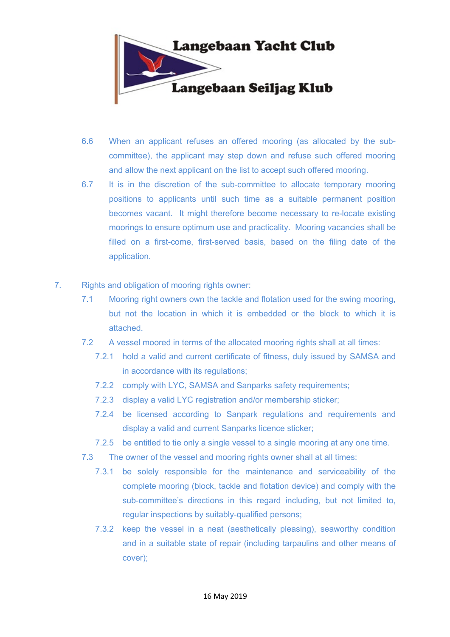

- 6.6 When an applicant refuses an offered mooring (as allocated by the subcommittee), the applicant may step down and refuse such offered mooring and allow the next applicant on the list to accept such offered mooring.
- 6.7 It is in the discretion of the sub-committee to allocate temporary mooring positions to applicants until such time as a suitable permanent position becomes vacant. It might therefore become necessary to re-locate existing moorings to ensure optimum use and practicality. Mooring vacancies shall be filled on a first-come, first-served basis, based on the filing date of the application.
- 7. Rights and obligation of mooring rights owner:
	- 7.1 Mooring right owners own the tackle and flotation used for the swing mooring, but not the location in which it is embedded or the block to which it is attached.
	- 7.2 A vessel moored in terms of the allocated mooring rights shall at all times:
		- 7.2.1 hold a valid and current certificate of fitness, duly issued by SAMSA and in accordance with its regulations;
		- 7.2.2 comply with LYC, SAMSA and Sanparks safety requirements;
		- 7.2.3 display a valid LYC registration and/or membership sticker;
		- 7.2.4 be licensed according to Sanpark regulations and requirements and display a valid and current Sanparks licence sticker;
		- 7.2.5 be entitled to tie only a single vessel to a single mooring at any one time.
	- 7.3 The owner of the vessel and mooring rights owner shall at all times:
		- 7.3.1 be solely responsible for the maintenance and serviceability of the complete mooring (block, tackle and flotation device) and comply with the sub-committee's directions in this regard including, but not limited to, regular inspections by suitably-qualified persons;
		- 7.3.2 keep the vessel in a neat (aesthetically pleasing), seaworthy condition and in a suitable state of repair (including tarpaulins and other means of cover);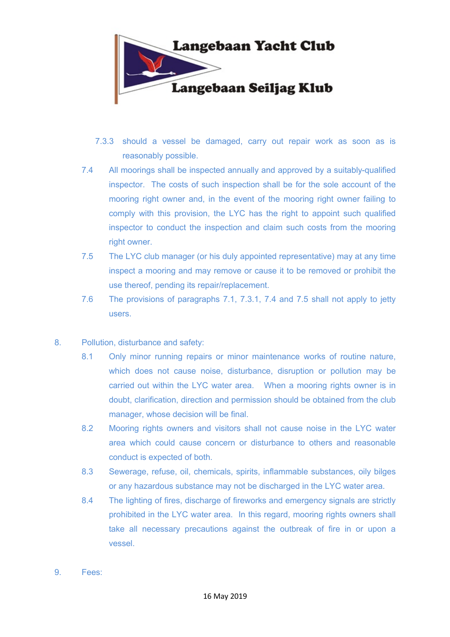

- 7.3.3 should a vessel be damaged, carry out repair work as soon as is reasonably possible.
- 7.4 All moorings shall be inspected annually and approved by a suitably-qualified inspector. The costs of such inspection shall be for the sole account of the mooring right owner and, in the event of the mooring right owner failing to comply with this provision, the LYC has the right to appoint such qualified inspector to conduct the inspection and claim such costs from the mooring right owner.
- 7.5 The LYC club manager (or his duly appointed representative) may at any time inspect a mooring and may remove or cause it to be removed or prohibit the use thereof, pending its repair/replacement.
- 7.6 The provisions of paragraphs 7.1, 7.3.1, 7.4 and 7.5 shall not apply to jetty users.
- 8. Pollution, disturbance and safety:
	- 8.1 Only minor running repairs or minor maintenance works of routine nature, which does not cause noise, disturbance, disruption or pollution may be carried out within the LYC water area. When a mooring rights owner is in doubt, clarification, direction and permission should be obtained from the club manager, whose decision will be final.
	- 8.2 Mooring rights owners and visitors shall not cause noise in the LYC water area which could cause concern or disturbance to others and reasonable conduct is expected of both.
	- 8.3 Sewerage, refuse, oil, chemicals, spirits, inflammable substances, oily bilges or any hazardous substance may not be discharged in the LYC water area.
	- 8.4 The lighting of fires, discharge of fireworks and emergency signals are strictly prohibited in the LYC water area. In this regard, mooring rights owners shall take all necessary precautions against the outbreak of fire in or upon a vessel.
- 9. Fees: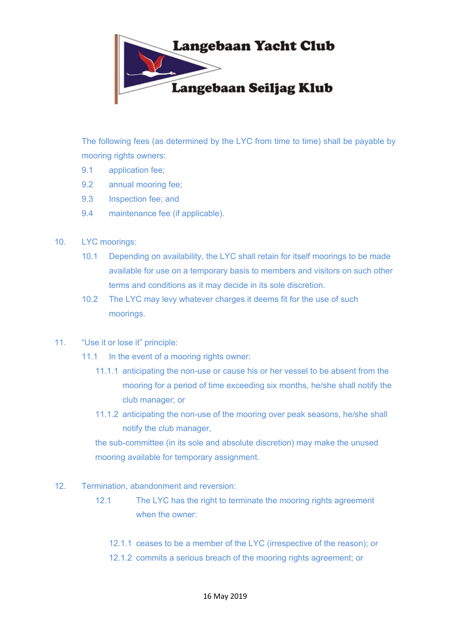

The following fees (as determined by the LYC from time to time) shall be payable by mooring rights owners:

- 9.1 application fee;
- 9.2 annual mooring fee;
- 9.3 Inspection fee; and
- 9.4 maintenance fee (if applicable).
- 10. LYC moorings:
	- 10.1 Depending on availability, the LYC shall retain for itself moorings to be made available for use on a temporary basis to members and visitors on such other terms and conditions as it may decide in its sole discretion.
	- 10.2 The LYC may levy whatever charges it deems fit for the use of such moorings.
- 11. "Use it or lose it" principle:
	- 11.1 In the event of a mooring rights owner:
		- 11.1.1 anticipating the non-use or cause his or her vessel to be absent from the mooring for a period of time exceeding six months, he/she shall notify the club manager; or
		- 11.1.2 anticipating the non-use of the mooring over peak seasons, he/she shall notify the club manager,

the sub-committee (in its sole and absolute discretion) may make the unused mooring available for temporary assignment.

- 12. Termination, abandonment and reversion:
	- 12.1 The LYC has the right to terminate the mooring rights agreement when the owner:
		- 12.1.1 ceases to be a member of the LYC (irrespective of the reason); or
		- 12.1.2 commits a serious breach of the mooring rights agreement; or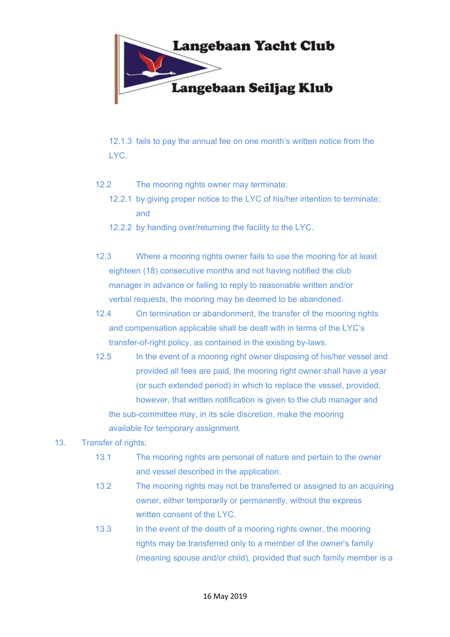

12.1.3 fails to pay the annual fee on one month's written notice from the LYC.

- 12.2 The mooring rights owner may terminate:
	- 12.2.1 by giving proper notice to the LYC of his/her intention to terminate; and
	- 12.2.2 by handing over/returning the facility to the LYC.
- 12.3 Where a mooring rights owner fails to use the mooring for at least eighteen (18) consecutive months and not having notified the club manager in advance or failing to reply to reasonable written and/or verbal requests, the mooring may be deemed to be abandoned.
- 12.4 On termination or abandonment, the transfer of the mooring rights and compensation applicable shall be dealt with in terms of the LYC's transfer-of-right policy, as contained in the existing by-laws.
- 12.5 In the event of a mooring right owner disposing of his/her vessel and provided all fees are paid, the mooring right owner shall have a year (or such extended period) in which to replace the vessel, provided, however, that written notification is given to the club manager and the sub-committee may, in its sole discretion, make the mooring available for temporary assignment.

# 13. Transfer of rights:

- 13.1 The mooring rights are personal of nature and pertain to the owner and vessel described in the application.
- 13.2 The mooring rights may not be transferred or assigned to an acquiring owner, either temporarily or permanently, without the express written consent of the LYC.
- 13.3 In the event of the death of a mooring rights owner, the mooring rights may be transferred only to a member of the owner's family (meaning spouse and/or child), provided that such family member is a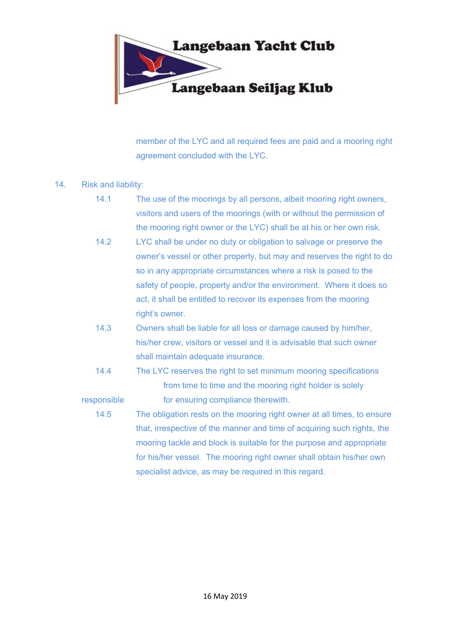

member of the LYC and all required fees are paid and a mooring right agreement concluded with the LYC.

## 14. Risk and liability:

- 14.1 The use of the moorings by all persons, albeit mooring right owners, visitors and users of the moorings (with or without the permission of the mooring right owner or the LYC) shall be at his or her own risk.
- 14.2 LYC shall be under no duty or obligation to salvage or preserve the owner's vessel or other property, but may and reserves the right to do so in any appropriate circumstances where a risk is posed to the safety of people, property and/or the environment. Where it does so act, it shall be entitled to recover its expenses from the mooring right's owner.
- 14.3 Owners shall be liable for all loss or damage caused by him/her, his/her crew, visitors or vessel and it is advisable that such owner shall maintain adequate insurance.
- 14.4 The LYC reserves the right to set minimum mooring specifications from time to time and the mooring right holder is solely responsible for ensuring compliance therewith.
	- 14.5 The obligation rests on the mooring right owner at all times, to ensure that, irrespective of the manner and time of acquiring such rights, the mooring tackle and block is suitable for the purpose and appropriate for his/her vessel. The mooring right owner shall obtain his/her own specialist advice, as may be required in this regard.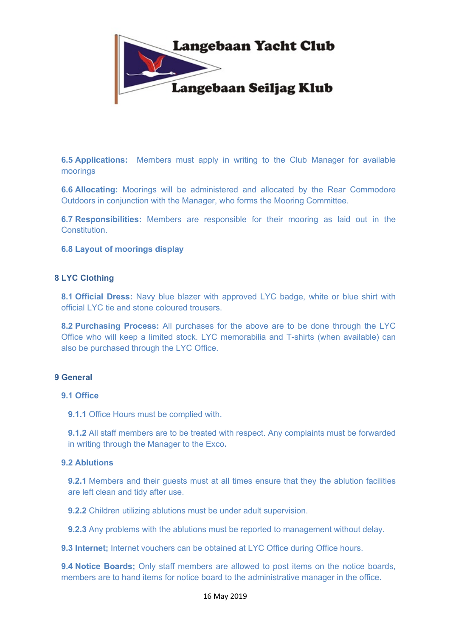

**6.5 Applications:** Members must apply in writing to the Club Manager for available moorings

**6.6 Allocating:** Moorings will be administered and allocated by the Rear Commodore Outdoors in conjunction with the Manager, who forms the Mooring Committee.

**6.7 Responsibilities:** Members are responsible for their mooring as laid out in the **Constitution** 

## **6.8 Layout of moorings display**

## **8 LYC Clothing**

**8.1 Official Dress:** Navy blue blazer with approved LYC badge, white or blue shirt with official LYC tie and stone coloured trousers.

**8.2 Purchasing Process:** All purchases for the above are to be done through the LYC Office who will keep a limited stock. LYC memorabilia and T-shirts (when available) can also be purchased through the LYC Office.

## **9 General**

## **9.1 Office**

**9.1.1** Office Hours must be complied with.

**9.1.2** All staff members are to be treated with respect. Any complaints must be forwarded in writing through the Manager to the Exco**.**

## **9.2 Ablutions**

**9.2.1** Members and their guests must at all times ensure that they the ablution facilities are left clean and tidy after use.

**9.2.2** Children utilizing ablutions must be under adult supervision.

**9.2.3** Any problems with the ablutions must be reported to management without delay.

**9.3 Internet;** Internet vouchers can be obtained at LYC Office during Office hours.

**9.4 Notice Boards;** Only staff members are allowed to post items on the notice boards, members are to hand items for notice board to the administrative manager in the office.

#### 16 May 2019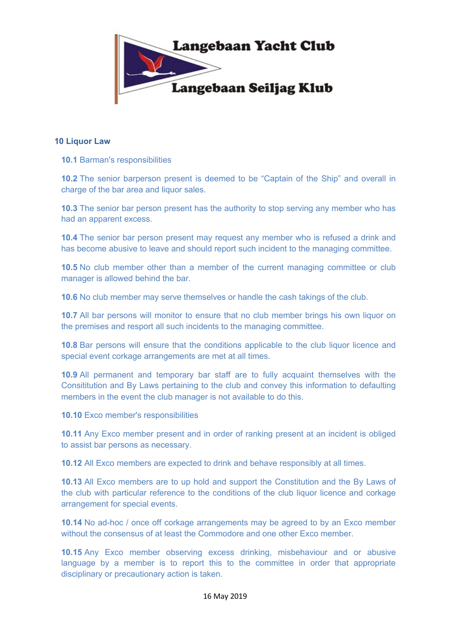

## **10 Liquor Law**

**10.1** Barman's responsibilities

**10.2** The senior barperson present is deemed to be "Captain of the Ship" and overall in charge of the bar area and liquor sales.

**10.3** The senior bar person present has the authority to stop serving any member who has had an apparent excess.

**10.4** The senior bar person present may request any member who is refused a drink and has become abusive to leave and should report such incident to the managing committee.

**10.5** No club member other than a member of the current managing committee or club manager is allowed behind the bar.

**10.6** No club member may serve themselves or handle the cash takings of the club.

**10.7** All bar persons will monitor to ensure that no club member brings his own liquor on the premises and resport all such incidents to the managing committee.

**10.8** Bar persons will ensure that the conditions applicable to the club liquor licence and special event corkage arrangements are met at all times.

**10.9** All permanent and temporary bar staff are to fully acquaint themselves with the Consititution and By Laws pertaining to the club and convey this information to defaulting members in the event the club manager is not available to do this.

**10.10** Exco member's responsibilities

**10.11** Any Exco member present and in order of ranking present at an incident is obliged to assist bar persons as necessary.

**10.12** All Exco members are expected to drink and behave responsibly at all times.

**10.13** All Exco members are to up hold and support the Constitution and the By Laws of the club with particular reference to the conditions of the club liquor licence and corkage arrangement for special events.

**10.14** No ad-hoc / once off corkage arrangements may be agreed to by an Exco member without the consensus of at least the Commodore and one other Exco member.

**10.15** Any Exco member observing excess drinking, misbehaviour and or abusive language by a member is to report this to the committee in order that appropriate disciplinary or precautionary action is taken.